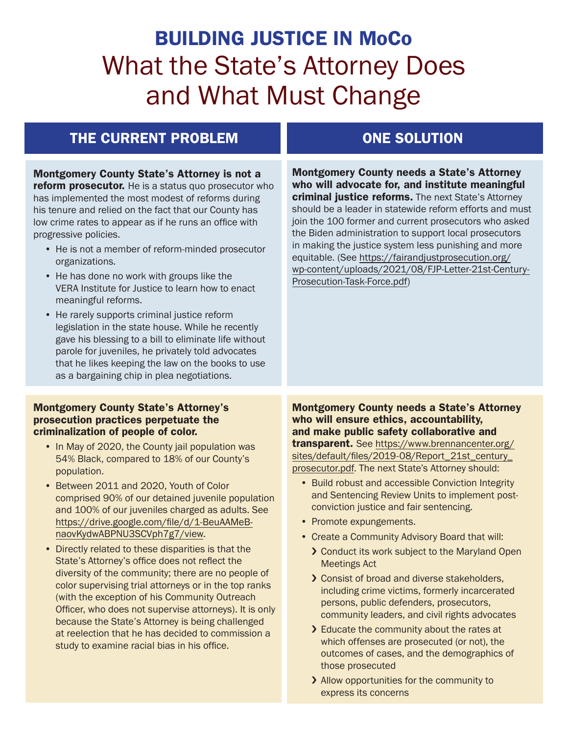# BUILDING JUSTICE IN MoCo What the State's Attorney Does and What Must Change

## THE CURRENT PROBLEM **ONE SOLUTION**

Montgomery County State's Attorney is not a **reform prosecutor.** He is a status quo prosecutor who has implemented the most modest of reforms during his tenure and relied on the fact that our County has low crime rates to appear as if he runs an office with progressive policies. • He is not a member of reform-minded prosecutor organizations. • He has done no work with groups like the VERA Institute for Justice to learn how to enact meaningful reforms. • He rarely supports criminal justice reform legislation in the state house. While he recently gave his blessing to a bill to eliminate life without parole for juveniles, he privately told advocates that he likes keeping the law on the books to use as a bargaining chip in plea negotiations. Montgomery County State's Attorney's prosecution practices perpetuate the criminalization of people of color. • In May of 2020, the County jail population was 54% Black, compared to 18% of our County's population. • Between 2011 and 2020, Youth of Color comprised 90% of our detained juvenile population and 100% of our juveniles charged as adults. See [https://drive.google.com/file/d/1-BeuAAMeB](https://drive.google.com/file/d/1-BeuAAMeB-naovKydwABPNU3SCVph7g7/view)[naovKydwABPNU3SCVph7g7/view](https://drive.google.com/file/d/1-BeuAAMeB-naovKydwABPNU3SCVph7g7/view). • Directly related to these disparities is that the State's Attorney's office does not reflect the diversity of the community; there are no people of color supervising trial attorneys or in the top ranks (with the exception of his Community Outreach Officer, who does not supervise attorneys). It is only because the State's Attorney is being challenged at reelection that he has decided to commission a study to examine racial bias in his office. Montgomery County needs a State's Attorney who will advocate for, and institute meaningful criminal justice reforms. The next State's Attorney should be a leader in statewide reform efforts and must join the [100 former and current prosecutors who asked](https://fairandjustprosecution.org/wp-content/uploads/2021/08/FJP-Letter-21st-Century-Prosecution-Task-Force.pdf)  [the Biden administration](https://fairandjustprosecution.org/wp-content/uploads/2021/08/FJP-Letter-21st-Century-Prosecution-Task-Force.pdf) to support local prosecutors in making the justice system less punishing and more equitable. (See [https://fairandjustprosecution.org/](https://fairandjustprosecution.org/wp-content/uploads/2021/08/FJP-Letter-21st-Century-Prosecution-Task-Force.pdf) [wp-content/uploads/2021/08/FJP-Letter-21st-Century-](https://fairandjustprosecution.org/wp-content/uploads/2021/08/FJP-Letter-21st-Century-Prosecution-Task-Force.pdf)[Prosecution-Task-Force.pdf](https://fairandjustprosecution.org/wp-content/uploads/2021/08/FJP-Letter-21st-Century-Prosecution-Task-Force.pdf)) Montgomery County needs a State's Attorney who will ensure ethics, accountability, and make public safety collaborative and transparent. See [https://www.brennancenter.org/](https://www.brennancenter.org/sites/default/files/2019-08/Report_21st_century_prosecutor.pdf) [sites/default/files/2019-08/Report\\_21st\\_century\\_](https://www.brennancenter.org/sites/default/files/2019-08/Report_21st_century_prosecutor.pdf) [prosecutor.pdf](https://www.brennancenter.org/sites/default/files/2019-08/Report_21st_century_prosecutor.pdf). The next State's Attorney should: • Build robust and accessible Conviction Integrity and Sentencing Review Units to implement postconviction justice and fair sentencing. • Promote expungements. • Create a Community Advisory Board that will: › Conduct its work subject to the Maryland Open Meetings Act › Consist of broad and diverse stakeholders, including crime victims, formerly incarcerated persons, public defenders, prosecutors, community leaders, and civil rights advocates > Educate the community about the rates at which offenses are prosecuted (or not), the outcomes of cases, and the demographics of those prosecuted

> › Allow opportunities for the community to express its concerns